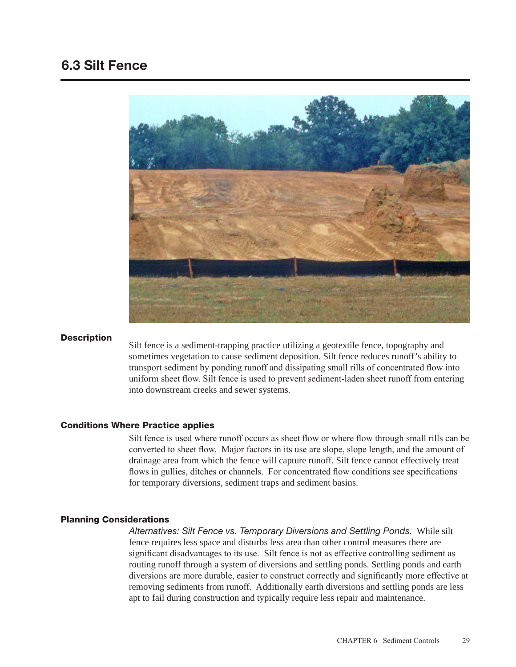# 6.3 Silt Fence



## **Description**

Silt fence is a sediment-trapping practice utilizing a geotextile fence, topography and sometimes vegetation to cause sediment deposition. Silt fence reduces runoff's ability to transport sediment by ponding runoff and dissipating small rills of concentrated flow into uniform sheet flow. Silt fence is used to prevent sediment-laden sheet runoff from entering into downstream creeks and sewer systems.

# Conditions Where Practice applies

Silt fence is used where runoff occurs as sheet flow or where flow through small rills can be converted to sheet flow. Major factors in its use are slope, slope length, and the amount of drainage area from which the fence will capture runoff. Silt fence cannot effectively treat flows in gullies, ditches or channels. For concentrated flow conditions see specifications for temporary diversions, sediment traps and sediment basins.

# Planning Considerations

*Alternatives: Silt Fence vs. Temporary Diversions and Settling Ponds.* While silt fence requires less space and disturbs less area than other control measures there are significant disadvantages to its use. Silt fence is not as effective controlling sediment as routing runoff through a system of diversions and settling ponds. Settling ponds and earth diversions are more durable, easier to construct correctly and significantly more effective at removing sediments from runoff. Additionally earth diversions and settling ponds are less apt to fail during construction and typically require less repair and maintenance.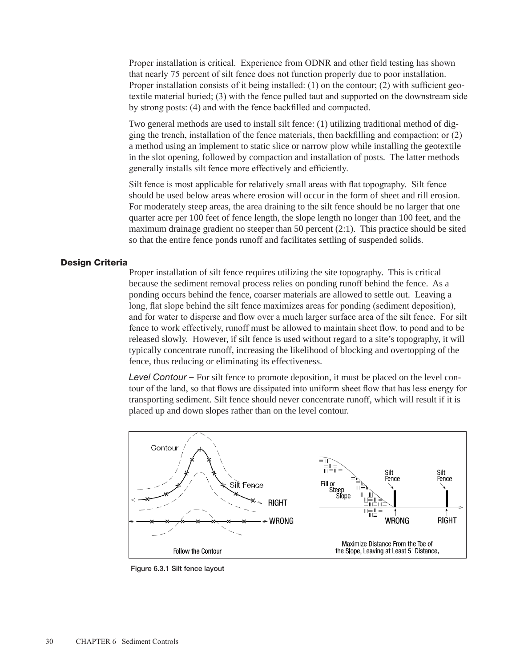Proper installation is critical. Experience from ODNR and other field testing has shown that nearly 75 percent of silt fence does not function properly due to poor installation. Proper installation consists of it being installed: (1) on the contour; (2) with sufficient geotextile material buried; (3) with the fence pulled taut and supported on the downstream side by strong posts: (4) and with the fence backfilled and compacted.

Two general methods are used to install silt fence: (1) utilizing traditional method of digging the trench, installation of the fence materials, then backfilling and compaction; or (2) a method using an implement to static slice or narrow plow while installing the geotextile in the slot opening, followed by compaction and installation of posts. The latter methods generally installs silt fence more effectively and efficiently.

Silt fence is most applicable for relatively small areas with flat topography. Silt fence should be used below areas where erosion will occur in the form of sheet and rill erosion. For moderately steep areas, the area draining to the silt fence should be no larger that one quarter acre per 100 feet of fence length, the slope length no longer than 100 feet, and the maximum drainage gradient no steeper than 50 percent (2:1). This practice should be sited so that the entire fence ponds runoff and facilitates settling of suspended solids.

## Design Criteria

Proper installation of silt fence requires utilizing the site topography. This is critical because the sediment removal process relies on ponding runoff behind the fence. As a ponding occurs behind the fence, coarser materials are allowed to settle out. Leaving a long, flat slope behind the silt fence maximizes areas for ponding (sediment deposition), and for water to disperse and flow over a much larger surface area of the silt fence. For silt fence to work effectively, runoff must be allowed to maintain sheet flow, to pond and to be released slowly. However, if silt fence is used without regard to a site's topography, it will typically concentrate runoff, increasing the likelihood of blocking and overtopping of the fence, thus reducing or eliminating its effectiveness.

*Level Contour –* For silt fence to promote deposition, it must be placed on the level contour of the land, so that flows are dissipated into uniform sheet flow that has less energy for transporting sediment. Silt fence should never concentrate runoff, which will result if it is placed up and down slopes rather than on the level contour.



Figure 6.3.1 Silt fence layout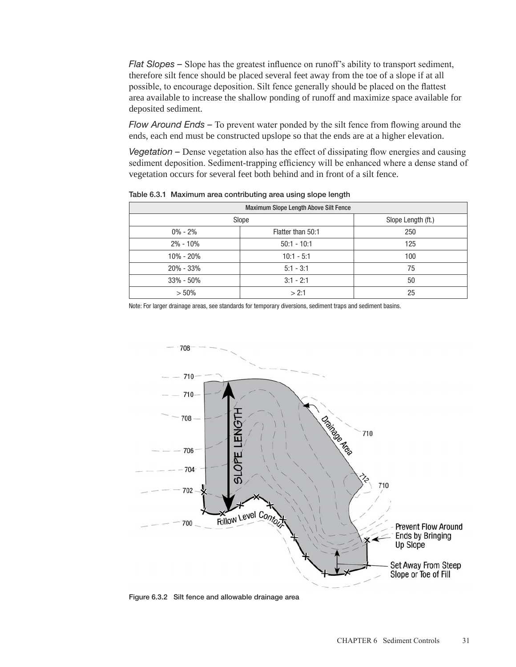*Flat Slopes –* Slope has the greatest influence on runoff's ability to transport sediment, therefore silt fence should be placed several feet away from the toe of a slope if at all possible, to encourage deposition. Silt fence generally should be placed on the flattest area available to increase the shallow ponding of runoff and maximize space available for deposited sediment.

*Flow Around Ends –* To prevent water ponded by the silt fence from flowing around the ends, each end must be constructed upslope so that the ends are at a higher elevation.

*Vegetation –* Dense vegetation also has the effect of dissipating flow energies and causing sediment deposition. Sediment-trapping efficiency will be enhanced where a dense stand of vegetation occurs for several feet both behind and in front of a silt fence.

| <b>Maximum Slope Length Above Silt Fence</b> |                   |                    |  |  |
|----------------------------------------------|-------------------|--------------------|--|--|
| Slope                                        |                   | Slope Length (ft.) |  |  |
| $0\% - 2\%$                                  | Flatter than 50:1 | 250                |  |  |
| $2\% - 10\%$                                 | $50:1 - 10:1$     | 125                |  |  |
| 10% - 20%                                    | $10:1 - 5:1$      | 100                |  |  |
| $20\% - 33\%$                                | $5:1 - 3:1$       | 75                 |  |  |
| $33\% - 50\%$                                | $3:1 - 2:1$       | 50                 |  |  |
| $> 50\%$                                     | > 2:1             | 25                 |  |  |

Table 6.3.1 Maximum area contributing area using slope length

Note: For larger drainage areas, see standards for temporary diversions, sediment traps and sediment basins.



Figure 6.3.2 Silt fence and allowable drainage area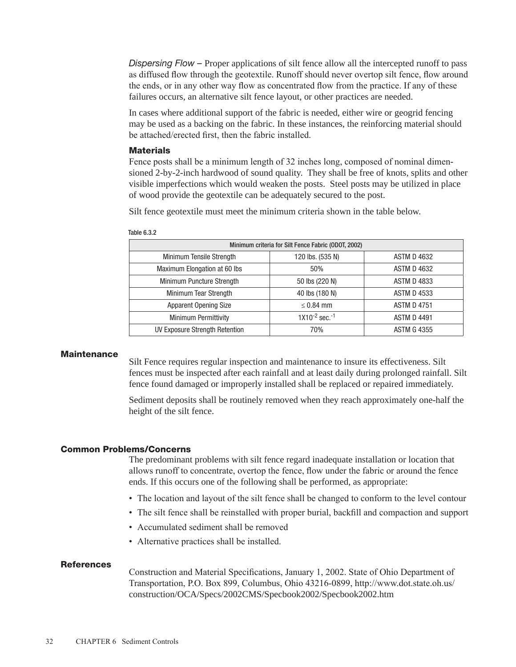*Dispersing Flow –* Proper applications of silt fence allow all the intercepted runoff to pass as diffused flow through the geotextile. Runoff should never overtop silt fence, flow around the ends, or in any other way flow as concentrated flow from the practice. If any of these failures occurs, an alternative silt fence layout, or other practices are needed.

In cases where additional support of the fabric is needed, either wire or geogrid fencing may be used as a backing on the fabric. In these instances, the reinforcing material should be attached/erected first, then the fabric installed.

#### **Materials**

Fence posts shall be a minimum length of 32 inches long, composed of nominal dimensioned 2-by-2-inch hardwood of sound quality. They shall be free of knots, splits and other visible imperfections which would weaken the posts. Steel posts may be utilized in place of wood provide the geotextile can be adequately secured to the post.

Silt fence geotextile must meet the minimum criteria shown in the table below.

| Minimum criteria for Silt Fence Fabric (ODOT, 2002) |                                |                    |  |  |
|-----------------------------------------------------|--------------------------------|--------------------|--|--|
| Minimum Tensile Strength                            | 120 lbs. (535 N)               | <b>ASTM D 4632</b> |  |  |
| Maximum Elongation at 60 lbs                        | 50%                            | <b>ASTM D 4632</b> |  |  |
| Minimum Puncture Strength                           | 50 lbs (220 N)                 | <b>ASTM D 4833</b> |  |  |
| Minimum Tear Strength                               | 40 lbs (180 N)                 | <b>ASTM D 4533</b> |  |  |
| <b>Apparent Opening Size</b>                        | $\leq$ 0.84 mm                 | <b>ASTM D 4751</b> |  |  |
| <b>Minimum Permittivity</b>                         | $1X10^{-2}$ sec. <sup>-1</sup> | <b>ASTM D 4491</b> |  |  |
| UV Exposure Strength Retention                      | 70%                            | <b>ASTM G 4355</b> |  |  |

# **Maintenance**

Silt Fence requires regular inspection and maintenance to insure its effectiveness. Silt fences must be inspected after each rainfall and at least daily during prolonged rainfall. Silt fence found damaged or improperly installed shall be replaced or repaired immediately.

Sediment deposits shall be routinely removed when they reach approximately one-half the height of the silt fence.

#### Common Problems/Concerns

The predominant problems with silt fence regard inadequate installation or location that allows runoff to concentrate, overtop the fence, flow under the fabric or around the fence ends. If this occurs one of the following shall be performed, as appropriate:

- The location and layout of the silt fence shall be changed to conform to the level contour
- The silt fence shall be reinstalled with proper burial, backfill and compaction and support
- Accumulated sediment shall be removed
- Alternative practices shall be installed.

#### **References**

Construction and Material Specifications, January 1, 2002. State of Ohio Department of Transportation, P.O. Box 899, Columbus, Ohio 43216-0899, http://www.dot.state.oh.us/ construction/OCA/Specs/2002CMS/Specbook2002/Specbook2002.htm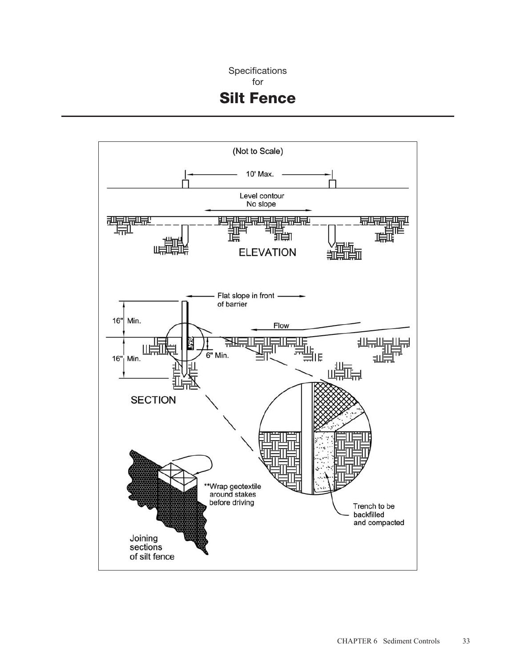